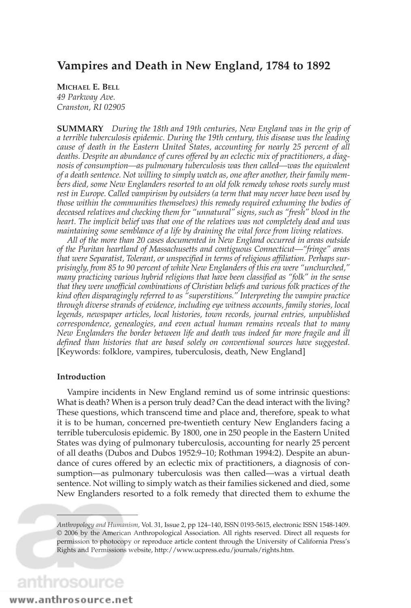### **Vampires and Death in New England, 1784 to 1892**

#### **MICHAEL E. BELL**

*49 Parkway Ave. Cranston, RI 02905*

**SUMMARY** *During the 18th and 19th centuries, New England was in the grip of a terrible tuberculosis epidemic. During the 19th century, this disease was the leading cause of death in the Eastern United States, accounting for nearly 25 percent of all deaths. Despite an abundance of cures offered by an eclectic mix of practitioners, a diagnosis of consumption—as pulmonary tuberculosis was then called—was the equivalent of a death sentence. Not willing to simply watch as, one after another, their family members died, some New Englanders resorted to an old folk remedy whose roots surely must rest in Europe. Called vampirism by outsiders (a term that may never have been used by those within the communities themselves) this remedy required exhuming the bodies of deceased relatives and checking them for "unnatural" signs, such as "fresh" blood in the heart. The implicit belief was that one of the relatives was not completely dead and was maintaining some semblance of a life by draining the vital force from living relatives.*

*All of the more than 20 cases documented in New England occurred in areas outside of the Puritan heartland of Massachusetts and contiguous Connecticut—"fringe" areas that were Separatist, Tolerant, or unspecified in terms of religious affiliation. Perhaps surprisingly, from 85 to 90 percent of white New Englanders of this era were "unchurched," many practicing various hybrid religions that have been classified as "folk" in the sense that they were unofficial combinations of Christian beliefs and various folk practices of the kind often disparagingly referred to as "superstitions." Interpreting the vampire practice through diverse strands of evidence, including eye witness accounts, family stories, local legends, newspaper articles, local histories, town records, journal entries, unpublished correspondence, genealogies, and even actual human remains reveals that to many New Englanders the border between life and death was indeed far more fragile and ill defined than histories that are based solely on conventional sources have suggested.* [Keywords: folklore, vampires, tuberculosis, death, New England]

#### **Introduction**

Vampire incidents in New England remind us of some intrinsic questions: What is death? When is a person truly dead? Can the dead interact with the living? These questions, which transcend time and place and, therefore, speak to what it is to be human, concerned pre-twentieth century New Englanders facing a terrible tuberculosis epidemic. By 1800, one in 250 people in the Eastern United States was dying of pulmonary tuberculosis, accounting for nearly 25 percent of all deaths (Dubos and Dubos 1952:9–10; Rothman 1994:2). Despite an abundance of cures offered by an eclectic mix of practitioners, a diagnosis of consumption—as pulmonary tuberculosis was then called—was a virtual death sentence. Not willing to simply watch as their families sickened and died, some New Englanders resorted to a folk remedy that directed them to exhume the

# anthrosource

*Anthropology and Humanism*, Vol. 31, Issue 2, pp 124–140, ISSN 0193-5615, electronic ISSN 1548-1409. © 2006 by the American Anthropological Association. All rights reserved. Direct all requests for permission to photocopy or reproduce article content through the University of California Press's Rights and Permissions website, http://www.ucpress.edu/journals/rights.htm.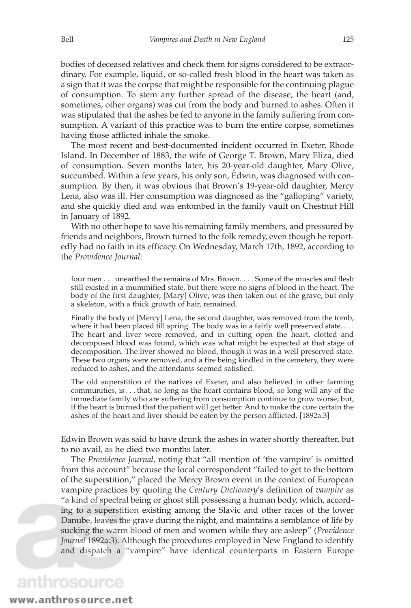bodies of deceased relatives and check them for signs considered to be extraordinary. For example, liquid, or so-called fresh blood in the heart was taken as a sign that it was the corpse that might be responsible for the continuing plague of consumption. To stem any further spread of the disease, the heart (and, sometimes, other organs) was cut from the body and burned to ashes. Often it was stipulated that the ashes be fed to anyone in the family suffering from consumption. A variant of this practice was to burn the entire corpse, sometimes having those afflicted inhale the smoke.

The most recent and best-documented incident occurred in Exeter, Rhode Island. In December of 1883, the wife of George T. Brown, Mary Eliza, died of consumption. Seven months later, his 20-year-old daughter, Mary Olive, succumbed. Within a few years, his only son, Edwin, was diagnosed with consumption. By then, it was obvious that Brown's 19-year-old daughter, Mercy Lena, also was ill. Her consumption was diagnosed as the "galloping" variety, and she quickly died and was entombed in the family vault on Chestnut Hill in January of 1892.

With no other hope to save his remaining family members, and pressured by friends and neighbors, Brown turned to the folk remedy, even though he reportedly had no faith in its efficacy. On Wednesday, March 17th, 1892, according to the *Providence Journal*:

four men... unearthed the remains of Mrs. Brown.... Some of the muscles and flesh still existed in a mummified state, but there were no signs of blood in the heart. The body of the first daughter, [Mary] Olive, was then taken out of the grave, but only a skeleton, with a thick growth of hair, remained.

Finally the body of [Mercy] Lena, the second daughter, was removed from the tomb, where it had been placed till spring. The body was in a fairly well preserved state.... The heart and liver were removed, and in cutting open the heart, clotted and decomposed blood was found, which was what might be expected at that stage of decomposition. The liver showed no blood, though it was in a well preserved state. These two organs were removed, and a fire being kindled in the cemetery, they were reduced to ashes, and the attendants seemed satisfied.

The old superstition of the natives of Exeter, and also believed in other farming communities, is . . . that, so long as the heart contains blood, so long will any of the immediate family who are suffering from consumption continue to grow worse; but, if the heart is burned that the patient will get better. And to make the cure certain the ashes of the heart and liver should be eaten by the person afflicted. [1892a:3]

Edwin Brown was said to have drunk the ashes in water shortly thereafter, but to no avail, as he died two months later.

The *Providence Journal,* noting that "all mention of 'the vampire' is omitted from this account" because the local correspondent "failed to get to the bottom of the superstition," placed the Mercy Brown event in the context of European vampire practices by quoting the *Century Dictionary*'s definition of *vampire* as "a kind of spectral being or ghost still possessing a human body, which, according to a superstition existing among the Slavic and other races of the lower Danube, leaves the grave during the night, and maintains a semblance of life by sucking the warm blood of men and women while they are asleep" (*Providence Journal* 1892a:3). Although the procedures employed in New England to identify and dispatch a "vampire" have identical counterparts in Eastern Europe

### anthrosource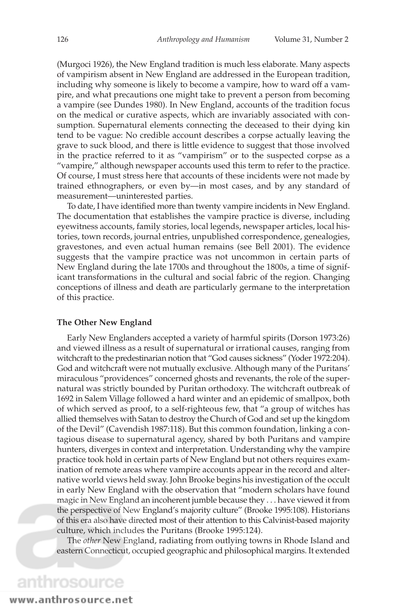(Murgoci 1926), the New England tradition is much less elaborate. Many aspects of vampirism absent in New England are addressed in the European tradition, including why someone is likely to become a vampire, how to ward off a vampire, and what precautions one might take to prevent a person from becoming a vampire (see Dundes 1980). In New England, accounts of the tradition focus on the medical or curative aspects, which are invariably associated with consumption. Supernatural elements connecting the deceased to their dying kin tend to be vague: No credible account describes a corpse actually leaving the grave to suck blood, and there is little evidence to suggest that those involved in the practice referred to it as "vampirism" or to the suspected corpse as a "vampire," although newspaper accounts used this term to refer to the practice. Of course, I must stress here that accounts of these incidents were not made by trained ethnographers, or even by—in most cases, and by any standard of measurement—uninterested parties.

To date, I have identified more than twenty vampire incidents in New England. The documentation that establishes the vampire practice is diverse, including eyewitness accounts, family stories, local legends, newspaper articles, local histories, town records, journal entries, unpublished correspondence, genealogies, gravestones, and even actual human remains (see Bell 2001). The evidence suggests that the vampire practice was not uncommon in certain parts of New England during the late 1700s and throughout the 1800s, a time of significant transformations in the cultural and social fabric of the region. Changing conceptions of illness and death are particularly germane to the interpretation of this practice.

#### **The Other New England**

Early New Englanders accepted a variety of harmful spirits (Dorson 1973:26) and viewed illness as a result of supernatural or irrational causes, ranging from witchcraft to the predestinarian notion that "God causes sickness" (Yoder 1972:204). God and witchcraft were not mutually exclusive. Although many of the Puritans' miraculous "providences" concerned ghosts and revenants, the role of the supernatural was strictly bounded by Puritan orthodoxy. The witchcraft outbreak of 1692 in Salem Village followed a hard winter and an epidemic of smallpox, both of which served as proof, to a self-righteous few, that "a group of witches has allied themselves with Satan to destroy the Church of God and set up the kingdom of the Devil" (Cavendish 1987:118). But this common foundation, linking a contagious disease to supernatural agency, shared by both Puritans and vampire hunters, diverges in context and interpretation. Understanding why the vampire practice took hold in certain parts of New England but not others requires examination of remote areas where vampire accounts appear in the record and alternative world views held sway. John Brooke begins his investigation of the occult in early New England with the observation that "modern scholars have found magic in New England an incoherent jumble because they . . . have viewed it from the perspective of New England's majority culture" (Brooke 1995:108). Historians of this era also have directed most of their attention to this Calvinist-based majority culture, which includes the Puritans (Brooke 1995:124).

The *other* New England, radiating from outlying towns in Rhode Island and eastern Connecticut, occupied geographic and philosophical margins. It extended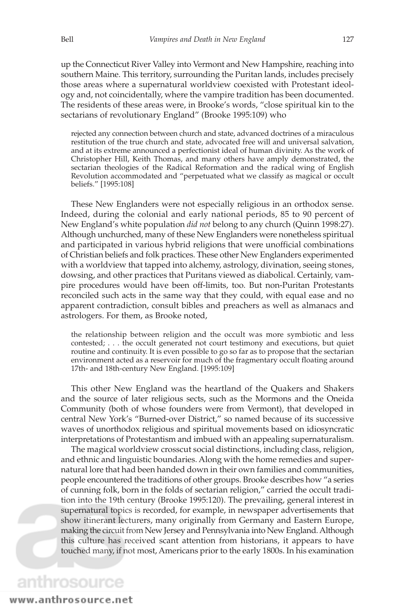up the Connecticut River Valley into Vermont and New Hampshire, reaching into southern Maine. This territory, surrounding the Puritan lands, includes precisely those areas where a supernatural worldview coexisted with Protestant ideology and, not coincidentally, where the vampire tradition has been documented. The residents of these areas were, in Brooke's words, "close spiritual kin to the sectarians of revolutionary England" (Brooke 1995:109) who

rejected any connection between church and state, advanced doctrines of a miraculous restitution of the true church and state, advocated free will and universal salvation, and at its extreme announced a perfectionist ideal of human divinity. As the work of Christopher Hill, Keith Thomas, and many others have amply demonstrated, the sectarian theologies of the Radical Reformation and the radical wing of English Revolution accommodated and "perpetuated what we classify as magical or occult beliefs." [1995:108]

These New Englanders were not especially religious in an orthodox sense. Indeed, during the colonial and early national periods, 85 to 90 percent of New England's white population *did not* belong to any church (Quinn 1998:27). Although unchurched, many of these New Englanders were nonetheless spiritual and participated in various hybrid religions that were unofficial combinations of Christian beliefs and folk practices. These other New Englanders experimented with a worldview that tapped into alchemy, astrology, divination, seeing stones, dowsing, and other practices that Puritans viewed as diabolical. Certainly, vampire procedures would have been off-limits, too. But non-Puritan Protestants reconciled such acts in the same way that they could, with equal ease and no apparent contradiction, consult bibles and preachers as well as almanacs and astrologers. For them, as Brooke noted,

the relationship between religion and the occult was more symbiotic and less contested; . . . the occult generated not court testimony and executions, but quiet routine and continuity. It is even possible to go so far as to propose that the sectarian environment acted as a reservoir for much of the fragmentary occult floating around 17th- and 18th-century New England. [1995:109]

This other New England was the heartland of the Quakers and Shakers and the source of later religious sects, such as the Mormons and the Oneida Community (both of whose founders were from Vermont), that developed in central New York's "Burned-over District," so named because of its successive waves of unorthodox religious and spiritual movements based on idiosyncratic interpretations of Protestantism and imbued with an appealing supernaturalism.

The magical worldview crosscut social distinctions, including class, religion, and ethnic and linguistic boundaries. Along with the home remedies and supernatural lore that had been handed down in their own families and communities, people encountered the traditions of other groups. Brooke describes how "a series of cunning folk, born in the folds of sectarian religion," carried the occult tradition into the 19th century (Brooke 1995:120). The prevailing, general interest in supernatural topics is recorded, for example, in newspaper advertisements that show itinerant lecturers, many originally from Germany and Eastern Europe, making the circuit from New Jersey and Pennsylvania into New England. Although this culture has received scant attention from historians, it appears to have touched many, if not most, Americans prior to the early 1800s. In his examination

### www.anthrosource.net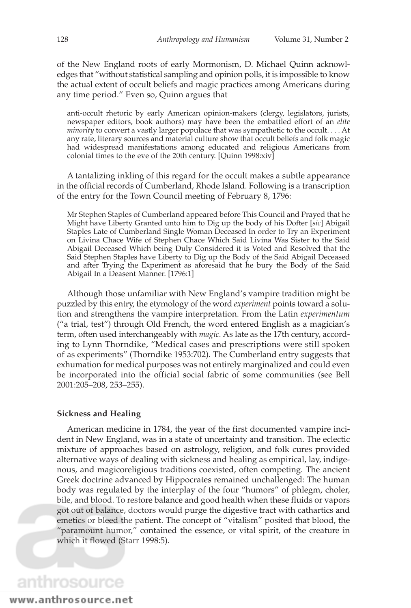of the New England roots of early Mormonism, D. Michael Quinn acknowledges that "without statistical sampling and opinion polls, it is impossible to know the actual extent of occult beliefs and magic practices among Americans during any time period." Even so, Quinn argues that

anti-occult rhetoric by early American opinion-makers (clergy, legislators, jurists, newspaper editors, book authors) may have been the embattled effort of an *elite minority* to convert a vastly larger populace that was sympathetic to the occult. . . . At any rate, literary sources and material culture show that occult beliefs and folk magic had widespread manifestations among educated and religious Americans from colonial times to the eve of the 20th century. [Quinn 1998:xiv]

A tantalizing inkling of this regard for the occult makes a subtle appearance in the official records of Cumberland, Rhode Island. Following is a transcription of the entry for the Town Council meeting of February 8, 1796:

Mr Stephen Staples of Cumberland appeared before This Council and Prayed that he Might have Liberty Granted unto him to Dig up the body of his Dofter [*sic*] Abigail Staples Late of Cumberland Single Woman Deceased In order to Try an Experiment on Livina Chace Wife of Stephen Chace Which Said Livina Was Sister to the Said Abigail Deceased Which being Duly Considered it is Voted and Resolved that the Said Stephen Staples have Liberty to Dig up the Body of the Said Abigail Deceased and after Trying the Experiment as aforesaid that he bury the Body of the Said Abigail In a Deasent Manner. [1796:1]

Although those unfamiliar with New England's vampire tradition might be puzzled by this entry, the etymology of the word *experiment* points toward a solution and strengthens the vampire interpretation. From the Latin *experimentum* ("a trial, test") through Old French, the word entered English as a magician's term, often used interchangeably with *magic.* As late as the 17th century, according to Lynn Thorndike, "Medical cases and prescriptions were still spoken of as experiments" (Thorndike 1953:702). The Cumberland entry suggests that exhumation for medical purposes was not entirely marginalized and could even be incorporated into the official social fabric of some communities (see Bell 2001:205–208, 253–255).

#### **Sickness and Healing**

American medicine in 1784, the year of the first documented vampire incident in New England, was in a state of uncertainty and transition. The eclectic mixture of approaches based on astrology, religion, and folk cures provided alternative ways of dealing with sickness and healing as empirical, lay, indigenous, and magicoreligious traditions coexisted, often competing. The ancient Greek doctrine advanced by Hippocrates remained unchallenged: The human body was regulated by the interplay of the four "humors" of phlegm, choler, bile, and blood. To restore balance and good health when these fluids or vapors got out of balance, doctors would purge the digestive tract with cathartics and emetics or bleed the patient. The concept of "vitalism" posited that blood, the "paramount humor," contained the essence, or vital spirit, of the creature in which it flowed (Starr 1998:5).

## anthrosource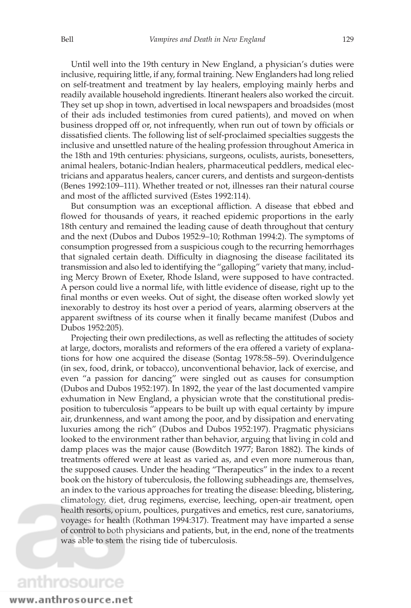Until well into the 19th century in New England, a physician's duties were inclusive, requiring little, if any, formal training. New Englanders had long relied on self-treatment and treatment by lay healers, employing mainly herbs and readily available household ingredients. Itinerant healers also worked the circuit. They set up shop in town, advertised in local newspapers and broadsides (most of their ads included testimonies from cured patients), and moved on when business dropped off or, not infrequently, when run out of town by officials or dissatisfied clients. The following list of self-proclaimed specialties suggests the inclusive and unsettled nature of the healing profession throughout America in the 18th and 19th centuries: physicians, surgeons, oculists, aurists, bonesetters, animal healers, botanic-Indian healers, pharmaceutical peddlers, medical electricians and apparatus healers, cancer curers, and dentists and surgeon-dentists (Benes 1992:109–111). Whether treated or not, illnesses ran their natural course and most of the afflicted survived (Estes 1992:114).

But consumption was an exceptional affliction. A disease that ebbed and flowed for thousands of years, it reached epidemic proportions in the early 18th century and remained the leading cause of death throughout that century and the next (Dubos and Dubos 1952:9–10; Rothman 1994:2). The symptoms of consumption progressed from a suspicious cough to the recurring hemorrhages that signaled certain death. Difficulty in diagnosing the disease facilitated its transmission and also led to identifying the "galloping" variety that many, including Mercy Brown of Exeter, Rhode Island, were supposed to have contracted. A person could live a normal life, with little evidence of disease, right up to the final months or even weeks. Out of sight, the disease often worked slowly yet inexorably to destroy its host over a period of years, alarming observers at the apparent swiftness of its course when it finally became manifest (Dubos and Dubos 1952:205).

Projecting their own predilections, as well as reflecting the attitudes of society at large, doctors, moralists and reformers of the era offered a variety of explanations for how one acquired the disease (Sontag 1978:58–59). Overindulgence (in sex, food, drink, or tobacco), unconventional behavior, lack of exercise, and even "a passion for dancing" were singled out as causes for consumption (Dubos and Dubos 1952:197). In 1892, the year of the last documented vampire exhumation in New England, a physician wrote that the constitutional predisposition to tuberculosis "appears to be built up with equal certainty by impure air, drunkenness, and want among the poor, and by dissipation and enervating luxuries among the rich" (Dubos and Dubos 1952:197). Pragmatic physicians looked to the environment rather than behavior, arguing that living in cold and damp places was the major cause (Bowditch 1977; Baron 1882). The kinds of treatments offered were at least as varied as, and even more numerous than, the supposed causes. Under the heading "Therapeutics" in the index to a recent book on the history of tuberculosis, the following subheadings are, themselves, an index to the various approaches for treating the disease: bleeding, blistering, climatology, diet, drug regimens, exercise, leeching, open-air treatment, open health resorts, opium, poultices, purgatives and emetics, rest cure, sanatoriums, voyages for health (Rothman 1994:317). Treatment may have imparted a sense of control to both physicians and patients, but, in the end, none of the treatments was able to stem the rising tide of tuberculosis.

### anthrosource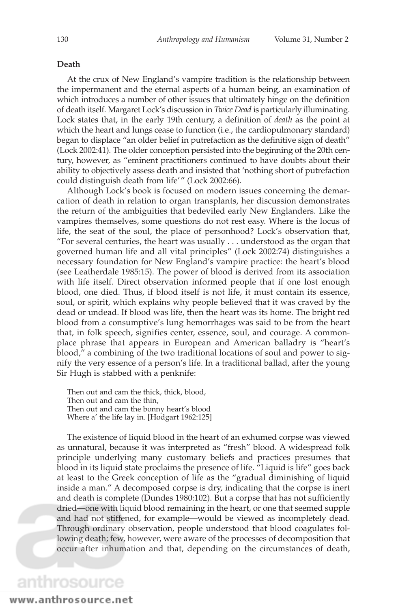#### **Death**

At the crux of New England's vampire tradition is the relationship between the impermanent and the eternal aspects of a human being, an examination of which introduces a number of other issues that ultimately hinge on the definition of death itself. Margaret Lock's discussion in *Twice Dead* is particularly illuminating. Lock states that, in the early 19th century, a definition of *death* as the point at which the heart and lungs cease to function (i.e., the cardiopulmonary standard) began to displace "an older belief in putrefaction as the definitive sign of death" (Lock 2002:41). The older conception persisted into the beginning of the 20th century, however, as "eminent practitioners continued to have doubts about their ability to objectively assess death and insisted that 'nothing short of putrefaction could distinguish death from life'" (Lock 2002:66).

Although Lock's book is focused on modern issues concerning the demarcation of death in relation to organ transplants, her discussion demonstrates the return of the ambiguities that bedeviled early New Englanders. Like the vampires themselves, some questions do not rest easy. Where is the locus of life, the seat of the soul, the place of personhood? Lock's observation that, "For several centuries, the heart was usually . . . understood as the organ that governed human life and all vital principles" (Lock 2002:74) distinguishes a necessary foundation for New England's vampire practice: the heart's blood (see Leatherdale 1985:15). The power of blood is derived from its association with life itself. Direct observation informed people that if one lost enough blood, one died. Thus, if blood itself is not life, it must contain its essence, soul, or spirit, which explains why people believed that it was craved by the dead or undead. If blood was life, then the heart was its home. The bright red blood from a consumptive's lung hemorrhages was said to be from the heart that, in folk speech, signifies center, essence, soul, and courage. A commonplace phrase that appears in European and American balladry is "heart's blood," a combining of the two traditional locations of soul and power to signify the very essence of a person's life. In a traditional ballad, after the young Sir Hugh is stabbed with a penknife:

Then out and cam the thick, thick, blood, Then out and cam the thin, Then out and cam the bonny heart's blood Where a' the life lay in. [Hodgart 1962:125]

The existence of liquid blood in the heart of an exhumed corpse was viewed as unnatural, because it was interpreted as "fresh" blood. A widespread folk principle underlying many customary beliefs and practices presumes that blood in its liquid state proclaims the presence of life. "Liquid is life" goes back at least to the Greek conception of life as the "gradual diminishing of liquid inside a man." A decomposed corpse is dry, indicating that the corpse is inert and death is complete (Dundes 1980:102). But a corpse that has not sufficiently dried—one with liquid blood remaining in the heart, or one that seemed supple and had not stiffened, for example—would be viewed as incompletely dead. Through ordinary observation, people understood that blood coagulates following death; few, however, were aware of the processes of decomposition that occur after inhumation and that, depending on the circumstances of death,

www.anthrosource.net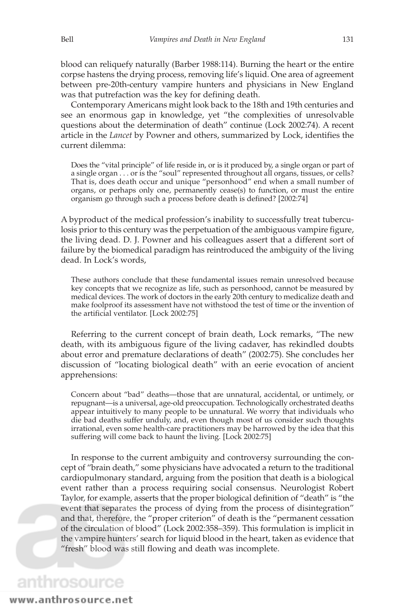blood can reliquefy naturally (Barber 1988:114). Burning the heart or the entire corpse hastens the drying process, removing life's liquid. One area of agreement between pre-20th-century vampire hunters and physicians in New England was that putrefaction was the key for defining death.

Contemporary Americans might look back to the 18th and 19th centuries and see an enormous gap in knowledge, yet "the complexities of unresolvable questions about the determination of death" continue (Lock 2002:74). A recent article in the *Lancet* by Powner and others, summarized by Lock, identifies the current dilemma:

Does the "vital principle" of life reside in, or is it produced by, a single organ or part of a single organ . . . or is the "soul" represented throughout all organs, tissues, or cells? That is, does death occur and unique "personhood" end when a small number of organs, or perhaps only one, permanently cease(s) to function, or must the entire organism go through such a process before death is defined? [2002:74]

A byproduct of the medical profession's inability to successfully treat tuberculosis prior to this century was the perpetuation of the ambiguous vampire figure, the living dead. D. J. Powner and his colleagues assert that a different sort of failure by the biomedical paradigm has reintroduced the ambiguity of the living dead. In Lock's words,

These authors conclude that these fundamental issues remain unresolved because key concepts that we recognize as life, such as personhood, cannot be measured by medical devices. The work of doctors in the early 20th century to medicalize death and make foolproof its assessment have not withstood the test of time or the invention of the artificial ventilator. [Lock 2002:75]

Referring to the current concept of brain death, Lock remarks, "The new death, with its ambiguous figure of the living cadaver, has rekindled doubts about error and premature declarations of death" (2002:75). She concludes her discussion of "locating biological death" with an eerie evocation of ancient apprehensions:

Concern about "bad" deaths—those that are unnatural, accidental, or untimely, or repugnant—is a universal, age-old preoccupation. Technologically orchestrated deaths appear intuitively to many people to be unnatural. We worry that individuals who die bad deaths suffer unduly, and, even though most of us consider such thoughts irrational, even some health-care practitioners may be harrowed by the idea that this suffering will come back to haunt the living. [Lock 2002:75]

In response to the current ambiguity and controversy surrounding the concept of "brain death," some physicians have advocated a return to the traditional cardiopulmonary standard, arguing from the position that death is a biological event rather than a process requiring social consensus. Neurologist Robert Taylor, for example, asserts that the proper biological definition of "death" is "the event that separates the process of dying from the process of disintegration" and that, therefore, the "proper criterion" of death is the "permanent cessation of the circulation of blood" (Lock 2002:358–359). This formulation is implicit in the vampire hunters' search for liquid blood in the heart, taken as evidence that "fresh" blood was still flowing and death was incomplete.

### anthrosource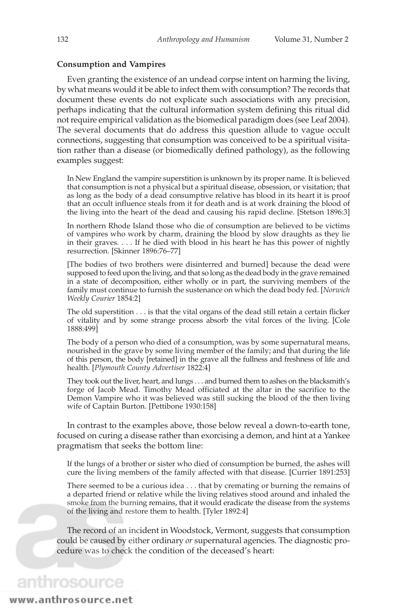#### **Consumption and Vampires**

Even granting the existence of an undead corpse intent on harming the living, by what means would it be able to infect them with consumption? The records that document these events do not explicate such associations with any precision, perhaps indicating that the cultural information system defining this ritual did not require empirical validation as the biomedical paradigm does (see Leaf 2004). The several documents that do address this question allude to vague occult connections, suggesting that consumption was conceived to be a spiritual visitation rather than a disease (or biomedically defined pathology), as the following examples suggest:

In New England the vampire superstition is unknown by its proper name. It is believed that consumption is not a physical but a spiritual disease, obsession, or visitation; that as long as the body of a dead consumptive relative has blood in its heart it is proof that an occult influence steals from it for death and is at work draining the blood of the living into the heart of the dead and causing his rapid decline. [Stetson 1896:3]

In northern Rhode Island those who die of consumption are believed to be victims of vampires who work by charm, draining the blood by slow draughts as they lie in their graves. . . . If he died with blood in his heart he has this power of nightly resurrection. [Skinner 1896:76–77]

[The bodies of two brothers were disinterred and burned] because the dead were supposed to feed upon the living, and that so long as the dead body in the grave remained in a state of decomposition, either wholly or in part, the surviving members of the family must continue to furnish the sustenance on which the dead body fed. [*Norwich Weekly Courier* 1854:2]

The old superstition . . . is that the vital organs of the dead still retain a certain flicker of vitality and by some strange process absorb the vital forces of the living. [Cole 1888:499]

The body of a person who died of a consumption, was by some supernatural means, nourished in the grave by some living member of the family; and that during the life of this person, the body [retained] in the grave all the fullness and freshness of life and health. [*Plymouth County Advertiser* 1822:4]

They took out the liver, heart, and lungs . . . and burned them to ashes on the blacksmith's forge of Jacob Mead. Timothy Mead officiated at the altar in the sacrifice to the Demon Vampire who it was believed was still sucking the blood of the then living wife of Captain Burton. [Pettibone 1930:158]

In contrast to the examples above, those below reveal a down-to-earth tone, focused on curing a disease rather than exorcising a demon, and hint at a Yankee pragmatism that seeks the bottom line:

If the lungs of a brother or sister who died of consumption be burned, the ashes will cure the living members of the family affected with that disease. [Currier 1891:253]

There seemed to be a curious idea . . . that by cremating or burning the remains of a departed friend or relative while the living relatives stood around and inhaled the smoke from the burning remains, that it would eradicate the disease from the systems of the living and restore them to health. [Tyler 1892:4]

The record of an incident in Woodstock, Vermont, suggests that consumption could be caused by either ordinary *or* supernatural agencies. The diagnostic procedure was to check the condition of the deceased's heart:

## anthrosource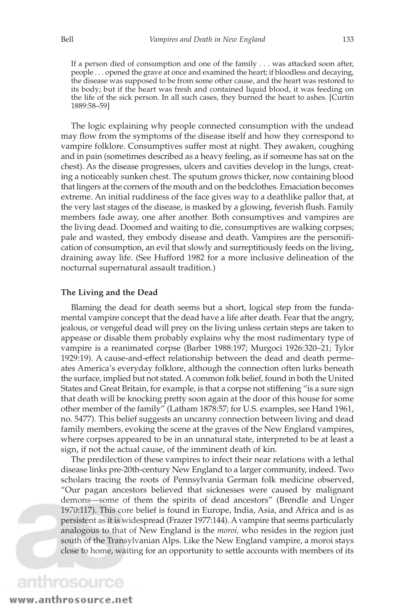If a person died of consumption and one of the family . . . was attacked soon after, people . . . opened the grave at once and examined the heart; if bloodless and decaying, the disease was supposed to be from some other cause, and the heart was restored to its body; but if the heart was fresh and contained liquid blood, it was feeding on the life of the sick person. In all such cases, they burned the heart to ashes. [Curtin 1889:58–59]

The logic explaining why people connected consumption with the undead may flow from the symptoms of the disease itself and how they correspond to vampire folklore. Consumptives suffer most at night. They awaken, coughing and in pain (sometimes described as a heavy feeling, as if someone has sat on the chest). As the disease progresses, ulcers and cavities develop in the lungs, creating a noticeably sunken chest. The sputum grows thicker, now containing blood that lingers at the corners of the mouth and on the bedclothes. Emaciation becomes extreme. An initial ruddiness of the face gives way to a deathlike pallor that, at the very last stages of the disease, is masked by a glowing, feverish flush. Family members fade away, one after another. Both consumptives and vampires are the living dead. Doomed and waiting to die, consumptives are walking corpses; pale and wasted, they embody disease and death. Vampires are the personification of consumption, an evil that slowly and surreptitiously feeds on the living, draining away life. (See Hufford 1982 for a more inclusive delineation of the nocturnal supernatural assault tradition.)

#### **The Living and the Dead**

Blaming the dead for death seems but a short, logical step from the fundamental vampire concept that the dead have a life after death. Fear that the angry, jealous, or vengeful dead will prey on the living unless certain steps are taken to appease or disable them probably explains why the most rudimentary type of vampire is a reanimated corpse (Barber 1988:197; Murgoci 1926:320–21; Tylor 1929:19). A cause-and-effect relationship between the dead and death permeates America's everyday folklore, although the connection often lurks beneath the surface, implied but not stated. A common folk belief, found in both the United States and Great Britain, for example, is that a corpse not stiffening "is a sure sign that death will be knocking pretty soon again at the door of this house for some other member of the family" (Latham 1878:57; for U.S. examples, see Hand 1961, no. 5477). This belief suggests an uncanny connection between living and dead family members, evoking the scene at the graves of the New England vampires, where corpses appeared to be in an unnatural state, interpreted to be at least a sign, if not the actual cause, of the imminent death of kin.

The predilection of these vampires to infect their near relations with a lethal disease links pre-20th-century New England to a larger community, indeed. Two scholars tracing the roots of Pennsylvania German folk medicine observed, "Our pagan ancestors believed that sicknesses were caused by malignant demons—some of them the spirits of dead ancestors" (Brendle and Unger 1970:117). This core belief is found in Europe, India, Asia, and Africa and is as persistent as it is widespread (Frazer 1977:144). A vampire that seems particularly analogous to that of New England is the *moroi,* who resides in the region just south of the Transylvanian Alps. Like the New England vampire, a moroi stays close to home, waiting for an opportunity to settle accounts with members of its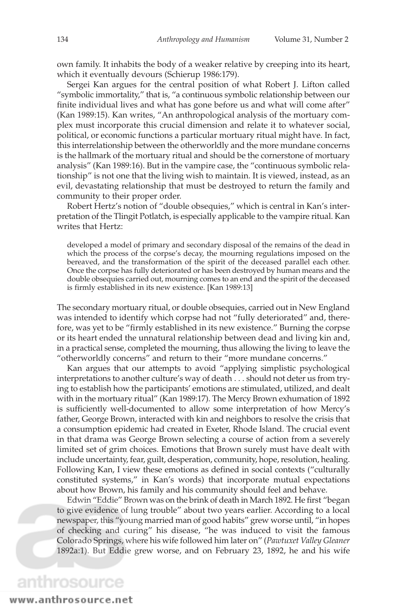own family. It inhabits the body of a weaker relative by creeping into its heart, which it eventually devours (Schierup 1986:179).

Sergei Kan argues for the central position of what Robert J. Lifton called "symbolic immortality," that is, "a continuous symbolic relationship between our finite individual lives and what has gone before us and what will come after" (Kan 1989:15). Kan writes, "An anthropological analysis of the mortuary complex must incorporate this crucial dimension and relate it to whatever social, political, or economic functions a particular mortuary ritual might have. In fact, this interrelationship between the otherworldly and the more mundane concerns is the hallmark of the mortuary ritual and should be the cornerstone of mortuary analysis" (Kan 1989:16). But in the vampire case, the "continuous symbolic relationship" is not one that the living wish to maintain. It is viewed, instead, as an evil, devastating relationship that must be destroyed to return the family and community to their proper order.

Robert Hertz's notion of "double obsequies," which is central in Kan's interpretation of the Tlingit Potlatch, is especially applicable to the vampire ritual. Kan writes that Hertz:

developed a model of primary and secondary disposal of the remains of the dead in which the process of the corpse's decay, the mourning regulations imposed on the bereaved, and the transformation of the spirit of the deceased parallel each other. Once the corpse has fully deteriorated or has been destroyed by human means and the double obsequies carried out, mourning comes to an end and the spirit of the deceased is firmly established in its new existence. [Kan 1989:13]

The secondary mortuary ritual, or double obsequies, carried out in New England was intended to identify which corpse had not "fully deteriorated" and, therefore, was yet to be "firmly established in its new existence." Burning the corpse or its heart ended the unnatural relationship between dead and living kin and, in a practical sense, completed the mourning, thus allowing the living to leave the "otherworldly concerns" and return to their "more mundane concerns."

Kan argues that our attempts to avoid "applying simplistic psychological interpretations to another culture's way of death ... should not deter us from trying to establish how the participants' emotions are stimulated, utilized, and dealt with in the mortuary ritual" (Kan 1989:17). The Mercy Brown exhumation of 1892 is sufficiently well-documented to allow some interpretation of how Mercy's father, George Brown, interacted with kin and neighbors to resolve the crisis that a consumption epidemic had created in Exeter, Rhode Island. The crucial event in that drama was George Brown selecting a course of action from a severely limited set of grim choices. Emotions that Brown surely must have dealt with include uncertainty, fear, guilt, desperation, community, hope, resolution, healing. Following Kan, I view these emotions as defined in social contexts ("culturally constituted systems," in Kan's words) that incorporate mutual expectations about how Brown, his family and his community should feel and behave.

Edwin "Eddie" Brown was on the brink of death in March 1892. He first "began to give evidence of lung trouble" about two years earlier. According to a local newspaper, this "young married man of good habits" grew worse until, "in hopes of checking and curing" his disease, "he was induced to visit the famous Colorado Springs, where his wife followed him later on" (*Pawtuxet Valley Gleaner* 1892a:1). But Eddie grew worse, and on February 23, 1892, he and his wife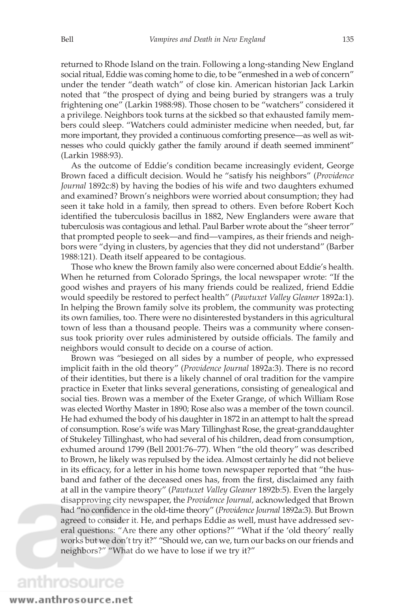returned to Rhode Island on the train. Following a long-standing New England social ritual, Eddie was coming home to die, to be "enmeshed in a web of concern" under the tender "death watch" of close kin. American historian Jack Larkin noted that "the prospect of dying and being buried by strangers was a truly frightening one" (Larkin 1988:98). Those chosen to be "watchers" considered it a privilege. Neighbors took turns at the sickbed so that exhausted family members could sleep. "Watchers could administer medicine when needed, but, far more important, they provided a continuous comforting presence—as well as witnesses who could quickly gather the family around if death seemed imminent" (Larkin 1988:93).

As the outcome of Eddie's condition became increasingly evident, George Brown faced a difficult decision. Would he "satisfy his neighbors" (*Providence Journal* 1892c:8) by having the bodies of his wife and two daughters exhumed and examined? Brown's neighbors were worried about consumption; they had seen it take hold in a family, then spread to others. Even before Robert Koch identified the tuberculosis bacillus in 1882, New Englanders were aware that tuberculosis was contagious and lethal. Paul Barber wrote about the "sheer terror" that prompted people to seek—and find—vampires, as their friends and neighbors were "dying in clusters, by agencies that they did not understand" (Barber 1988:121). Death itself appeared to be contagious.

Those who knew the Brown family also were concerned about Eddie's health. When he returned from Colorado Springs, the local newspaper wrote: "If the good wishes and prayers of his many friends could be realized, friend Eddie would speedily be restored to perfect health" (*Pawtuxet Valley Gleaner* 1892a:1). In helping the Brown family solve its problem, the community was protecting its own families, too. There were no disinterested bystanders in this agricultural town of less than a thousand people. Theirs was a community where consensus took priority over rules administered by outside officials. The family and neighbors would consult to decide on a course of action.

Brown was "besieged on all sides by a number of people, who expressed implicit faith in the old theory" (*Providence Journal* 1892a:3). There is no record of their identities, but there is a likely channel of oral tradition for the vampire practice in Exeter that links several generations, consisting of genealogical and social ties. Brown was a member of the Exeter Grange, of which William Rose was elected Worthy Master in 1890; Rose also was a member of the town council. He had exhumed the body of his daughter in 1872 in an attempt to halt the spread of consumption. Rose's wife was Mary Tillinghast Rose, the great-granddaughter of Stukeley Tillinghast, who had several of his children, dead from consumption, exhumed around 1799 (Bell 2001:76–77). When "the old theory" was described to Brown, he likely was repulsed by the idea. Almost certainly he did not believe in its efficacy, for a letter in his home town newspaper reported that "the husband and father of the deceased ones has, from the first, disclaimed any faith at all in the vampire theory" (*Pawtuxet Valley Gleaner* 1892b:5). Even the largely disapproving city newspaper, the *Providence Journal,* acknowledged that Brown had "no confidence in the old-time theory" (*Providence Journal* 1892a:3). But Brown agreed to consider it. He, and perhaps Eddie as well, must have addressed several questions: "Are there any other options?" "What if the 'old theory' really works but we don't try it?" "Should we, can we, turn our backs on our friends and neighbors?" "What do we have to lose if we try it?"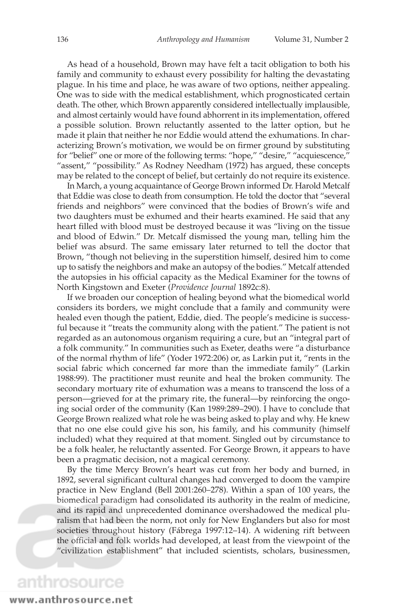As head of a household, Brown may have felt a tacit obligation to both his family and community to exhaust every possibility for halting the devastating plague. In his time and place, he was aware of two options, neither appealing. One was to side with the medical establishment, which prognosticated certain death. The other, which Brown apparently considered intellectually implausible, and almost certainly would have found abhorrent in its implementation, offered a possible solution. Brown reluctantly assented to the latter option, but he made it plain that neither he nor Eddie would attend the exhumations. In characterizing Brown's motivation, we would be on firmer ground by substituting for "belief" one or more of the following terms: "hope," "desire," "acquiescence," "assent," "possibility." As Rodney Needham (1972) has argued, these concepts may be related to the concept of belief, but certainly do not require its existence.

In March, a young acquaintance of George Brown informed Dr. Harold Metcalf that Eddie was close to death from consumption. He told the doctor that "several friends and neighbors" were convinced that the bodies of Brown's wife and two daughters must be exhumed and their hearts examined. He said that any heart filled with blood must be destroyed because it was "living on the tissue and blood of Edwin." Dr. Metcalf dismissed the young man, telling him the belief was absurd. The same emissary later returned to tell the doctor that Brown, "though not believing in the superstition himself, desired him to come up to satisfy the neighbors and make an autopsy of the bodies." Metcalf attended the autopsies in his official capacity as the Medical Examiner for the towns of North Kingstown and Exeter (*Providence Journal* 1892c:8).

If we broaden our conception of healing beyond what the biomedical world considers its borders, we might conclude that a family and community were healed even though the patient, Eddie, died. The people's medicine is successful because it "treats the community along with the patient." The patient is not regarded as an autonomous organism requiring a cure, but an "integral part of a folk community." In communities such as Exeter, deaths were "a disturbance of the normal rhythm of life" (Yoder 1972:206) or, as Larkin put it, "rents in the social fabric which concerned far more than the immediate family" (Larkin 1988:99). The practitioner must reunite and heal the broken community. The secondary mortuary rite of exhumation was a means to transcend the loss of a person—grieved for at the primary rite, the funeral—by reinforcing the ongoing social order of the community (Kan 1989:289–290). I have to conclude that George Brown realized what role he was being asked to play and why. He knew that no one else could give his son, his family, and his community (himself included) what they required at that moment. Singled out by circumstance to be a folk healer, he reluctantly assented. For George Brown, it appears to have been a pragmatic decision, not a magical ceremony.

By the time Mercy Brown's heart was cut from her body and burned, in 1892, several significant cultural changes had converged to doom the vampire practice in New England (Bell 2001:260–278). Within a span of 100 years, the biomedical paradigm had consolidated its authority in the realm of medicine, and its rapid and unprecedented dominance overshadowed the medical pluralism that had been the norm, not only for New Englanders but also for most societies throughout history (Fábrega 1997:12–14). A widening rift between the official and folk worlds had developed, at least from the viewpoint of the "civilization establishment" that included scientists, scholars, businessmen,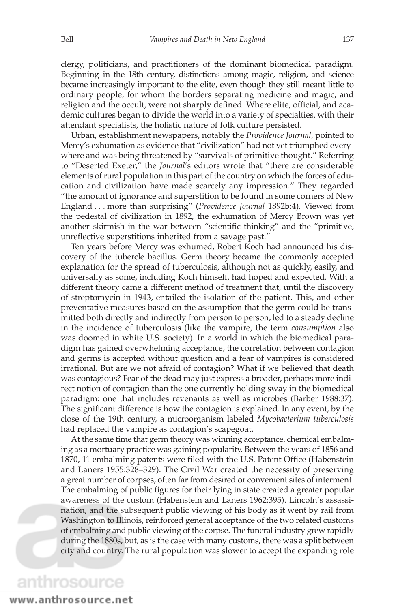clergy, politicians, and practitioners of the dominant biomedical paradigm. Beginning in the 18th century, distinctions among magic, religion, and science became increasingly important to the elite, even though they still meant little to ordinary people, for whom the borders separating medicine and magic, and religion and the occult, were not sharply defined. Where elite, official, and academic cultures began to divide the world into a variety of specialties, with their attendant specialists, the holistic nature of folk culture persisted.

Urban, establishment newspapers, notably the *Providence Journal,* pointed to Mercy's exhumation as evidence that "civilization" had not yet triumphed everywhere and was being threatened by "survivals of primitive thought." Referring to "Deserted Exeter," the *Journal*'s editors wrote that "there are considerable elements of rural population in this part of the country on which the forces of education and civilization have made scarcely any impression." They regarded "the amount of ignorance and superstition to be found in some corners of New England . . . more than surprising" (*Providence Journal* 1892b:4). Viewed from the pedestal of civilization in 1892, the exhumation of Mercy Brown was yet another skirmish in the war between "scientific thinking" and the "primitive, unreflective superstitions inherited from a savage past."

Ten years before Mercy was exhumed, Robert Koch had announced his discovery of the tubercle bacillus. Germ theory became the commonly accepted explanation for the spread of tuberculosis, although not as quickly, easily, and universally as some, including Koch himself, had hoped and expected. With a different theory came a different method of treatment that, until the discovery of streptomycin in 1943, entailed the isolation of the patient. This, and other preventative measures based on the assumption that the germ could be transmitted both directly and indirectly from person to person, led to a steady decline in the incidence of tuberculosis (like the vampire, the term *consumption* also was doomed in white U.S. society). In a world in which the biomedical paradigm has gained overwhelming acceptance, the correlation between contagion and germs is accepted without question and a fear of vampires is considered irrational. But are we not afraid of contagion? What if we believed that death was contagious? Fear of the dead may just express a broader, perhaps more indirect notion of contagion than the one currently holding sway in the biomedical paradigm: one that includes revenants as well as microbes (Barber 1988:37). The significant difference is how the contagion is explained. In any event, by the close of the 19th century, a microorganism labeled *Mycobacterium tuberculosis* had replaced the vampire as contagion's scapegoat.

At the same time that germ theory was winning acceptance, chemical embalming as a mortuary practice was gaining popularity. Between the years of 1856 and 1870, 11 embalming patents were filed with the U.S. Patent Office (Habenstein and Laners 1955:328–329). The Civil War created the necessity of preserving a great number of corpses, often far from desired or convenient sites of interment. The embalming of public figures for their lying in state created a greater popular awareness of the custom (Habenstein and Laners 1962:395). Lincoln's assassination, and the subsequent public viewing of his body as it went by rail from Washington to Illinois, reinforced general acceptance of the two related customs of embalming and public viewing of the corpse. The funeral industry grew rapidly during the 1880s, but, as is the case with many customs, there was a split between city and country. The rural population was slower to accept the expanding role

### anthrosource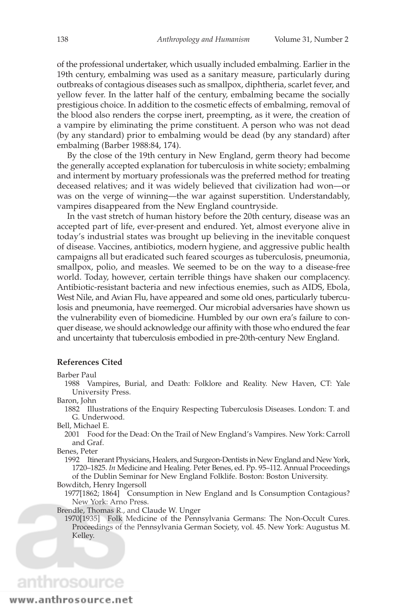of the professional undertaker, which usually included embalming. Earlier in the 19th century, embalming was used as a sanitary measure, particularly during outbreaks of contagious diseases such as smallpox, diphtheria, scarlet fever, and yellow fever. In the latter half of the century, embalming became the socially prestigious choice. In addition to the cosmetic effects of embalming, removal of the blood also renders the corpse inert, preempting, as it were, the creation of a vampire by eliminating the prime constituent. A person who was not dead (by any standard) prior to embalming would be dead (by any standard) after embalming (Barber 1988:84, 174).

By the close of the 19th century in New England, germ theory had become the generally accepted explanation for tuberculosis in white society; embalming and interment by mortuary professionals was the preferred method for treating deceased relatives; and it was widely believed that civilization had won—or was on the verge of winning—the war against superstition. Understandably, vampires disappeared from the New England countryside.

In the vast stretch of human history before the 20th century, disease was an accepted part of life, ever-present and endured. Yet, almost everyone alive in today's industrial states was brought up believing in the inevitable conquest of disease. Vaccines, antibiotics, modern hygiene, and aggressive public health campaigns all but eradicated such feared scourges as tuberculosis, pneumonia, smallpox, polio, and measles. We seemed to be on the way to a disease-free world. Today, however, certain terrible things have shaken our complacency. Antibiotic-resistant bacteria and new infectious enemies, such as AIDS, Ebola, West Nile, and Avian Flu, have appeared and some old ones, particularly tuberculosis and pneumonia, have reemerged. Our microbial adversaries have shown us the vulnerability even of biomedicine. Humbled by our own era's failure to conquer disease, we should acknowledge our affinity with those who endured the fear and uncertainty that tuberculosis embodied in pre-20th-century New England.

#### **References Cited**

Barber Paul

1988 Vampires, Burial, and Death: Folklore and Reality. New Haven, CT: Yale University Press.

Baron, John

1882 Illustrations of the Enquiry Respecting Tuberculosis Diseases. London: T. and G. Underwood.

Bell, Michael E.

2001 Food for the Dead: On the Trail of New England's Vampires. New York: Carroll and Graf.

Benes, Peter

1992 Itinerant Physicians, Healers, and Surgeon-Dentists in New England and New York, 1720–1825. *In* Medicine and Healing. Peter Benes, ed. Pp. 95–112. Annual Proceedings of the Dublin Seminar for New England Folklife. Boston: Boston University. Bowditch, Henry Ingersoll

1977[1862; 1864] Consumption in New England and Is Consumption Contagious? New York: Arno Press.

Brendle, Thomas R., and Claude W. Unger

1970[1935] Folk Medicine of the Pennsylvania Germans: The Non-Occult Cures. Proceedings of the Pennsylvania German Society, vol. 45. New York: Augustus M. Kelley.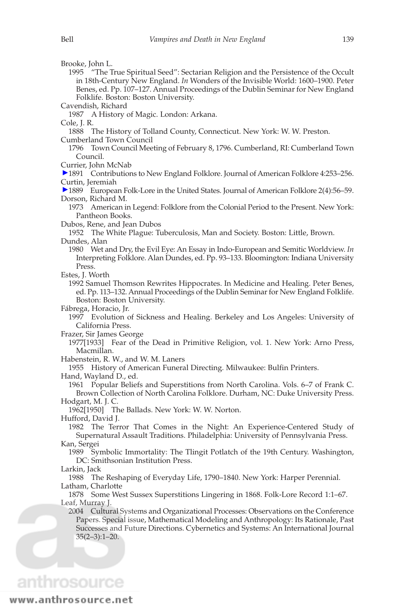Brooke, John L.

1995 "The True Spiritual Seed": Sectarian Religion and the Persistence of the Occult in 18th-Century New England. *In* Wonders of the Invisible World: 1600–1900. Peter Benes, ed. Pp. 107–127. Annual Proceedings of the Dublin Seminar for New England Folklife. Boston: Boston University.

Cavendish, Richard

1987 A History of Magic. London: Arkana.

Cole, J. R.

1888 The History of Tolland County, Connecticut. New York: W. W. Preston. Cumberland Town Council

1796 Town Council Meeting of February 8, 1796. Cumberland, RI: Cumberland Town Council.

Currier, John McNab

1891 Contributions to New England Folklore. Journal of American Folklore 4:253–256. Curtin, Jeremiah

1889 European Folk-Lore in the United States. Journal of American Folklore 2(4):56–59. Dorson, Richard M.

1973 American in Legend: Folklore from the Colonial Period to the Present. New York: Pantheon Books.

Dubos, Rene, and Jean Dubos

1952 The White Plague: Tuberculosis, Man and Society. Boston: Little, Brown. Dundes, Alan

1980 Wet and Dry, the Evil Eye: An Essay in Indo-European and Semitic Worldview. *In* Interpreting Folklore. Alan Dundes, ed. Pp. 93–133. Bloomington: Indiana University Press.

Estes, J. Worth

1992 Samuel Thomson Rewrites Hippocrates. In Medicine and Healing. Peter Benes, ed. Pp. 113–132. Annual Proceedings of the Dublin Seminar for New England Folklife. Boston: Boston University.

Fábrega, Horacio, Jr.

1997 Evolution of Sickness and Healing. Berkeley and Los Angeles: University of California Press.

Frazer, Sir James George

1977[1933] Fear of the Dead in Primitive Religion, vol. 1. New York: Arno Press, Macmillan.

Habenstein, R. W., and W. M. Laners

1955 History of American Funeral Directing. Milwaukee: Bulfin Printers.

Hand, Wayland D., ed.

1961 Popular Beliefs and Superstitions from North Carolina. Vols. 6–7 of Frank C. Brown Collection of North Carolina Folklore. Durham, NC: Duke University Press.

Hodgart, M. J. C.

1962[1950] The Ballads. New York: W. W. Norton.

Hufford, David J.

1982 The Terror That Comes in the Night: An Experience-Centered Study of Supernatural Assault Traditions. Philadelphia: University of Pennsylvania Press. Kan, Sergei

1989 Symbolic Immortality: The Tlingit Potlatch of the 19th Century. Washington,

DC: Smithsonian Institution Press.

Larkin, Jack

1988 The Reshaping of Everyday Life, 1790–1840. New York: Harper Perennial. Latham, Charlotte

1878 Some West Sussex Superstitions Lingering in 1868. Folk-Lore Record 1:1–67. Leaf, Murray J.

2004 Cultural Systems and Organizational Processes: Observations on the Conference Papers. Special issue, Mathematical Modeling and Anthropology: Its Rationale, Past Successes and Future Directions. Cybernetics and Systems: An International Journal 35(2–3):1–20.

## anthrosource